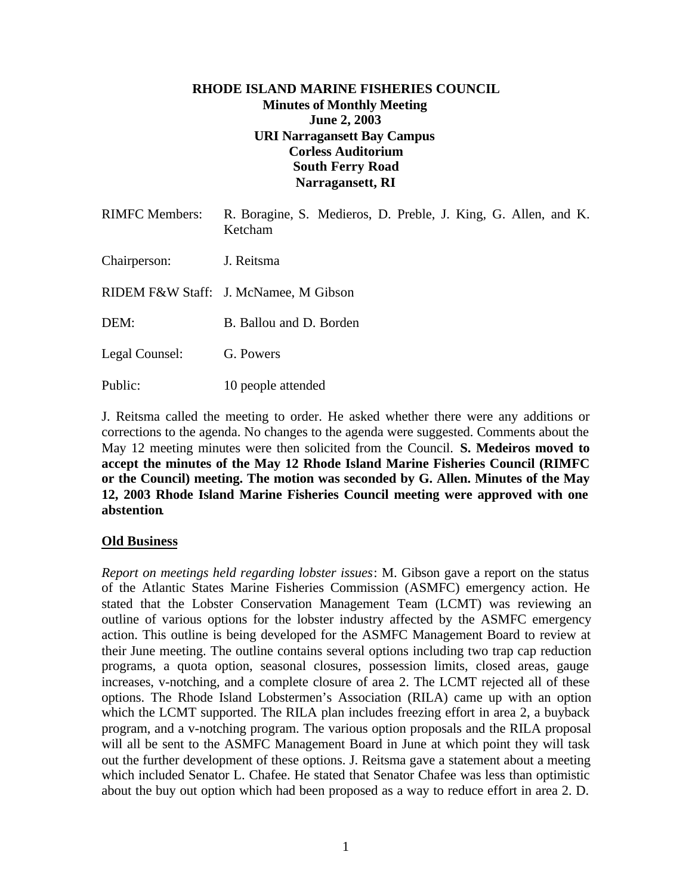### **RHODE ISLAND MARINE FISHERIES COUNCIL Minutes of Monthly Meeting June 2, 2003 URI Narragansett Bay Campus Corless Auditorium South Ferry Road Narragansett, RI**

| <b>RIMFC Members:</b> | R. Boragine, S. Medieros, D. Preble, J. King, G. Allen, and K.<br>Ketcham |
|-----------------------|---------------------------------------------------------------------------|
| Chairperson:          | J. Reitsma                                                                |
|                       | RIDEM F&W Staff: J. McNamee, M Gibson                                     |
| DEM:                  | B. Ballou and D. Borden                                                   |
| Legal Counsel:        | G. Powers                                                                 |
| Public:               | 10 people attended                                                        |

J. Reitsma called the meeting to order. He asked whether there were any additions or corrections to the agenda. No changes to the agenda were suggested. Comments about the May 12 meeting minutes were then solicited from the Council. **S. Medeiros moved to accept the minutes of the May 12 Rhode Island Marine Fisheries Council (RIMFC or the Council) meeting. The motion was seconded by G. Allen. Minutes of the May 12, 2003 Rhode Island Marine Fisheries Council meeting were approved with one abstention**.

# **Old Business**

*Report on meetings held regarding lobster issues*: M. Gibson gave a report on the status of the Atlantic States Marine Fisheries Commission (ASMFC) emergency action. He stated that the Lobster Conservation Management Team (LCMT) was reviewing an outline of various options for the lobster industry affected by the ASMFC emergency action. This outline is being developed for the ASMFC Management Board to review at their June meeting. The outline contains several options including two trap cap reduction programs, a quota option, seasonal closures, possession limits, closed areas, gauge increases, v-notching, and a complete closure of area 2. The LCMT rejected all of these options. The Rhode Island Lobstermen's Association (RILA) came up with an option which the LCMT supported. The RILA plan includes freezing effort in area 2, a buyback program, and a v-notching program. The various option proposals and the RILA proposal will all be sent to the ASMFC Management Board in June at which point they will task out the further development of these options. J. Reitsma gave a statement about a meeting which included Senator L. Chafee. He stated that Senator Chafee was less than optimistic about the buy out option which had been proposed as a way to reduce effort in area 2. D.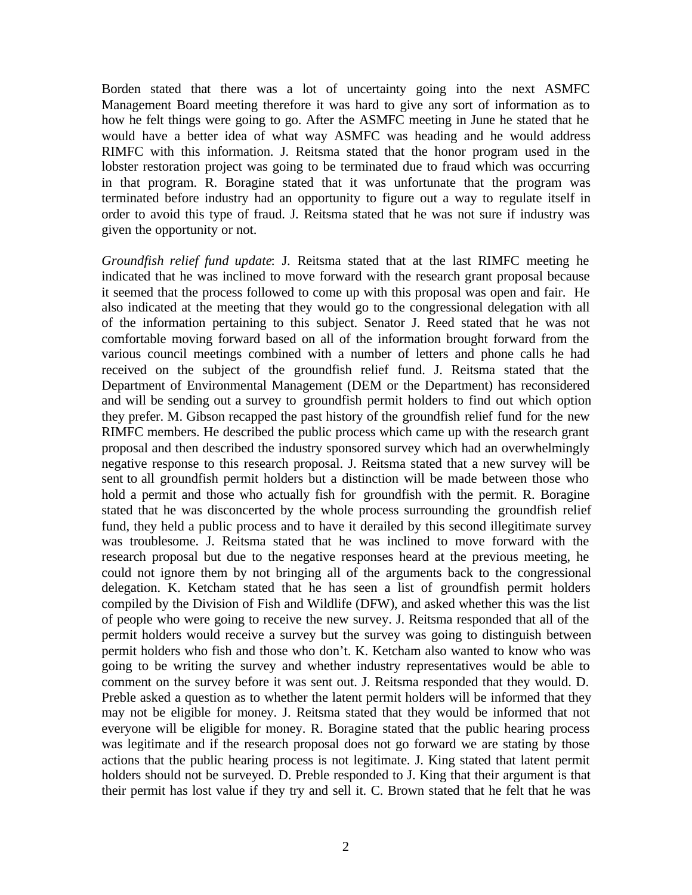Borden stated that there was a lot of uncertainty going into the next ASMFC Management Board meeting therefore it was hard to give any sort of information as to how he felt things were going to go. After the ASMFC meeting in June he stated that he would have a better idea of what way ASMFC was heading and he would address RIMFC with this information. J. Reitsma stated that the honor program used in the lobster restoration project was going to be terminated due to fraud which was occurring in that program. R. Boragine stated that it was unfortunate that the program was terminated before industry had an opportunity to figure out a way to regulate itself in order to avoid this type of fraud. J. Reitsma stated that he was not sure if industry was given the opportunity or not.

*Groundfish relief fund update*: J. Reitsma stated that at the last RIMFC meeting he indicated that he was inclined to move forward with the research grant proposal because it seemed that the process followed to come up with this proposal was open and fair. He also indicated at the meeting that they would go to the congressional delegation with all of the information pertaining to this subject. Senator J. Reed stated that he was not comfortable moving forward based on all of the information brought forward from the various council meetings combined with a number of letters and phone calls he had received on the subject of the groundfish relief fund. J. Reitsma stated that the Department of Environmental Management (DEM or the Department) has reconsidered and will be sending out a survey to groundfish permit holders to find out which option they prefer. M. Gibson recapped the past history of the groundfish relief fund for the new RIMFC members. He described the public process which came up with the research grant proposal and then described the industry sponsored survey which had an overwhelmingly negative response to this research proposal. J. Reitsma stated that a new survey will be sent to all groundfish permit holders but a distinction will be made between those who hold a permit and those who actually fish for groundfish with the permit. R. Boragine stated that he was disconcerted by the whole process surrounding the groundfish relief fund, they held a public process and to have it derailed by this second illegitimate survey was troublesome. J. Reitsma stated that he was inclined to move forward with the research proposal but due to the negative responses heard at the previous meeting, he could not ignore them by not bringing all of the arguments back to the congressional delegation. K. Ketcham stated that he has seen a list of groundfish permit holders compiled by the Division of Fish and Wildlife (DFW), and asked whether this was the list of people who were going to receive the new survey. J. Reitsma responded that all of the permit holders would receive a survey but the survey was going to distinguish between permit holders who fish and those who don't. K. Ketcham also wanted to know who was going to be writing the survey and whether industry representatives would be able to comment on the survey before it was sent out. J. Reitsma responded that they would. D. Preble asked a question as to whether the latent permit holders will be informed that they may not be eligible for money. J. Reitsma stated that they would be informed that not everyone will be eligible for money. R. Boragine stated that the public hearing process was legitimate and if the research proposal does not go forward we are stating by those actions that the public hearing process is not legitimate. J. King stated that latent permit holders should not be surveyed. D. Preble responded to J. King that their argument is that their permit has lost value if they try and sell it. C. Brown stated that he felt that he was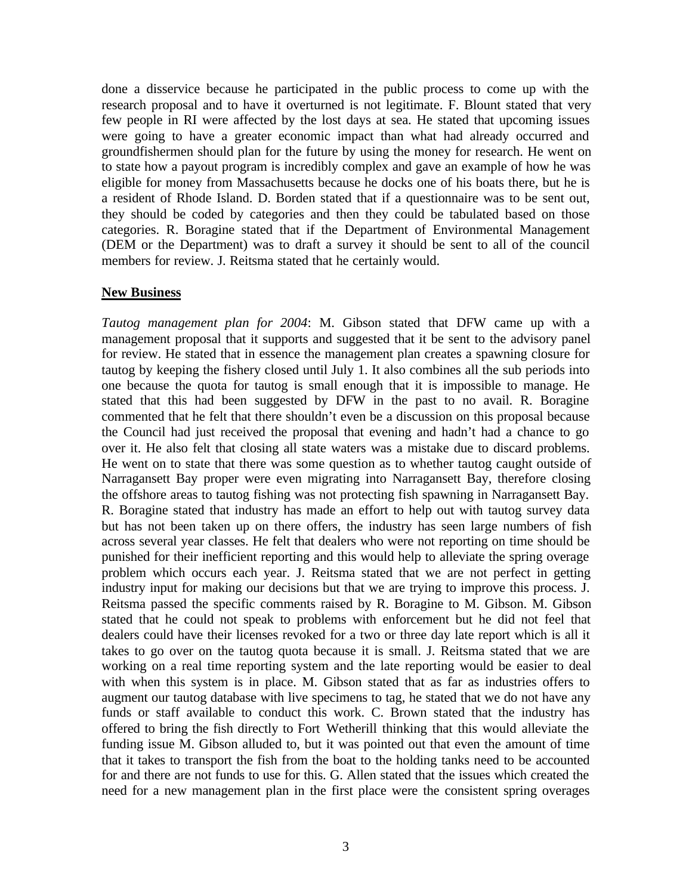done a disservice because he participated in the public process to come up with the research proposal and to have it overturned is not legitimate. F. Blount stated that very few people in RI were affected by the lost days at sea. He stated that upcoming issues were going to have a greater economic impact than what had already occurred and groundfishermen should plan for the future by using the money for research. He went on to state how a payout program is incredibly complex and gave an example of how he was eligible for money from Massachusetts because he docks one of his boats there, but he is a resident of Rhode Island. D. Borden stated that if a questionnaire was to be sent out, they should be coded by categories and then they could be tabulated based on those categories. R. Boragine stated that if the Department of Environmental Management (DEM or the Department) was to draft a survey it should be sent to all of the council members for review. J. Reitsma stated that he certainly would.

### **New Business**

*Tautog management plan for 2004*: M. Gibson stated that DFW came up with a management proposal that it supports and suggested that it be sent to the advisory panel for review. He stated that in essence the management plan creates a spawning closure for tautog by keeping the fishery closed until July 1. It also combines all the sub periods into one because the quota for tautog is small enough that it is impossible to manage. He stated that this had been suggested by DFW in the past to no avail. R. Boragine commented that he felt that there shouldn't even be a discussion on this proposal because the Council had just received the proposal that evening and hadn't had a chance to go over it. He also felt that closing all state waters was a mistake due to discard problems. He went on to state that there was some question as to whether tautog caught outside of Narragansett Bay proper were even migrating into Narragansett Bay, therefore closing the offshore areas to tautog fishing was not protecting fish spawning in Narragansett Bay. R. Boragine stated that industry has made an effort to help out with tautog survey data but has not been taken up on there offers, the industry has seen large numbers of fish across several year classes. He felt that dealers who were not reporting on time should be punished for their inefficient reporting and this would help to alleviate the spring overage problem which occurs each year. J. Reitsma stated that we are not perfect in getting industry input for making our decisions but that we are trying to improve this process. J. Reitsma passed the specific comments raised by R. Boragine to M. Gibson. M. Gibson stated that he could not speak to problems with enforcement but he did not feel that dealers could have their licenses revoked for a two or three day late report which is all it takes to go over on the tautog quota because it is small. J. Reitsma stated that we are working on a real time reporting system and the late reporting would be easier to deal with when this system is in place. M. Gibson stated that as far as industries offers to augment our tautog database with live specimens to tag, he stated that we do not have any funds or staff available to conduct this work. C. Brown stated that the industry has offered to bring the fish directly to Fort Wetherill thinking that this would alleviate the funding issue M. Gibson alluded to, but it was pointed out that even the amount of time that it takes to transport the fish from the boat to the holding tanks need to be accounted for and there are not funds to use for this. G. Allen stated that the issues which created the need for a new management plan in the first place were the consistent spring overages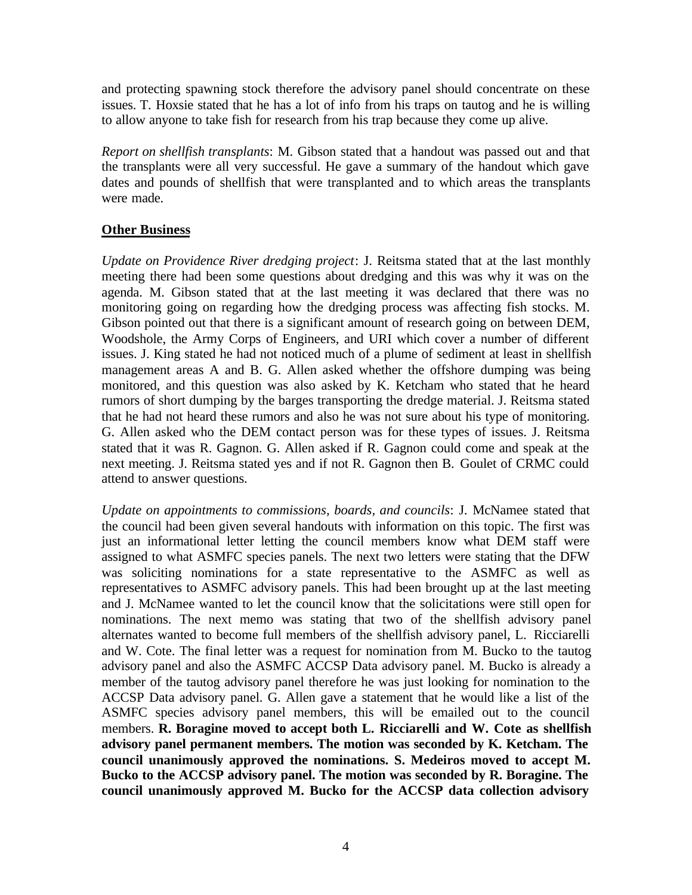and protecting spawning stock therefore the advisory panel should concentrate on these issues. T. Hoxsie stated that he has a lot of info from his traps on tautog and he is willing to allow anyone to take fish for research from his trap because they come up alive.

*Report on shellfish transplants*: M. Gibson stated that a handout was passed out and that the transplants were all very successful. He gave a summary of the handout which gave dates and pounds of shellfish that were transplanted and to which areas the transplants were made.

# **Other Business**

*Update on Providence River dredging project*: J. Reitsma stated that at the last monthly meeting there had been some questions about dredging and this was why it was on the agenda. M. Gibson stated that at the last meeting it was declared that there was no monitoring going on regarding how the dredging process was affecting fish stocks. M. Gibson pointed out that there is a significant amount of research going on between DEM, Woodshole, the Army Corps of Engineers, and URI which cover a number of different issues. J. King stated he had not noticed much of a plume of sediment at least in shellfish management areas A and B. G. Allen asked whether the offshore dumping was being monitored, and this question was also asked by K. Ketcham who stated that he heard rumors of short dumping by the barges transporting the dredge material. J. Reitsma stated that he had not heard these rumors and also he was not sure about his type of monitoring. G. Allen asked who the DEM contact person was for these types of issues. J. Reitsma stated that it was R. Gagnon. G. Allen asked if R. Gagnon could come and speak at the next meeting. J. Reitsma stated yes and if not R. Gagnon then B. Goulet of CRMC could attend to answer questions.

*Update on appointments to commissions, boards, and councils*: J. McNamee stated that the council had been given several handouts with information on this topic. The first was just an informational letter letting the council members know what DEM staff were assigned to what ASMFC species panels. The next two letters were stating that the DFW was soliciting nominations for a state representative to the ASMFC as well as representatives to ASMFC advisory panels. This had been brought up at the last meeting and J. McNamee wanted to let the council know that the solicitations were still open for nominations. The next memo was stating that two of the shellfish advisory panel alternates wanted to become full members of the shellfish advisory panel, L. Ricciarelli and W. Cote. The final letter was a request for nomination from M. Bucko to the tautog advisory panel and also the ASMFC ACCSP Data advisory panel. M. Bucko is already a member of the tautog advisory panel therefore he was just looking for nomination to the ACCSP Data advisory panel. G. Allen gave a statement that he would like a list of the ASMFC species advisory panel members, this will be emailed out to the council members. **R. Boragine moved to accept both L. Ricciarelli and W. Cote as shellfish advisory panel permanent members. The motion was seconded by K. Ketcham. The council unanimously approved the nominations. S. Medeiros moved to accept M. Bucko to the ACCSP advisory panel. The motion was seconded by R. Boragine. The council unanimously approved M. Bucko for the ACCSP data collection advisory**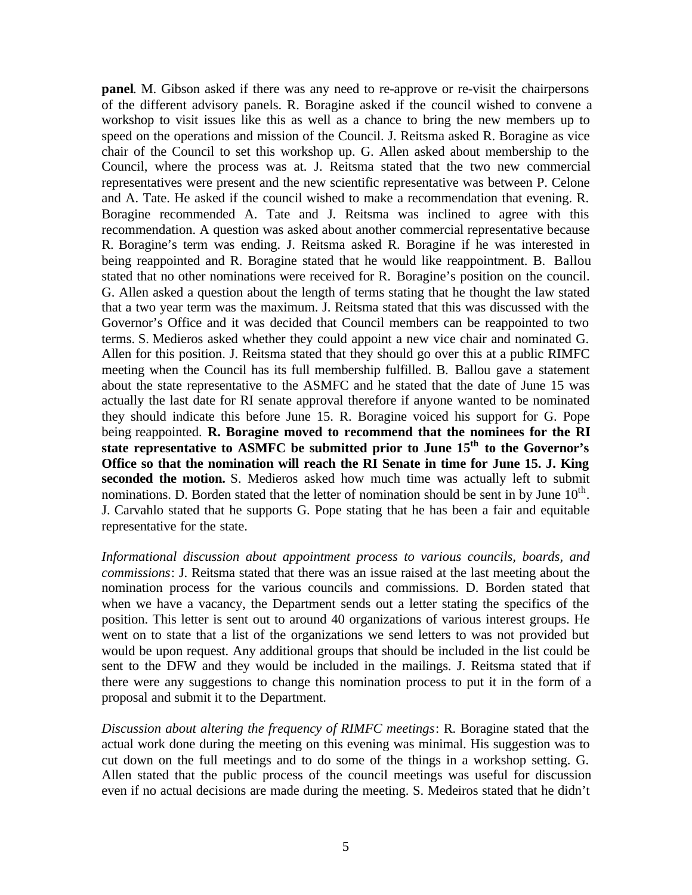**panel**. M. Gibson asked if there was any need to re-approve or re-visit the chairpersons of the different advisory panels. R. Boragine asked if the council wished to convene a workshop to visit issues like this as well as a chance to bring the new members up to speed on the operations and mission of the Council. J. Reitsma asked R. Boragine as vice chair of the Council to set this workshop up. G. Allen asked about membership to the Council, where the process was at. J. Reitsma stated that the two new commercial representatives were present and the new scientific representative was between P. Celone and A. Tate. He asked if the council wished to make a recommendation that evening. R. Boragine recommended A. Tate and J. Reitsma was inclined to agree with this recommendation. A question was asked about another commercial representative because R. Boragine's term was ending. J. Reitsma asked R. Boragine if he was interested in being reappointed and R. Boragine stated that he would like reappointment. B. Ballou stated that no other nominations were received for R. Boragine's position on the council. G. Allen asked a question about the length of terms stating that he thought the law stated that a two year term was the maximum. J. Reitsma stated that this was discussed with the Governor's Office and it was decided that Council members can be reappointed to two terms. S. Medieros asked whether they could appoint a new vice chair and nominated G. Allen for this position. J. Reitsma stated that they should go over this at a public RIMFC meeting when the Council has its full membership fulfilled. B. Ballou gave a statement about the state representative to the ASMFC and he stated that the date of June 15 was actually the last date for RI senate approval therefore if anyone wanted to be nominated they should indicate this before June 15. R. Boragine voiced his support for G. Pope being reappointed. **R. Boragine moved to recommend that the nominees for the RI state representative to ASMFC be submitted prior to June 15th to the Governor's Office so that the nomination will reach the RI Senate in time for June 15. J. King seconded the motion.** S. Medieros asked how much time was actually left to submit nominations. D. Borden stated that the letter of nomination should be sent in by June  $10<sup>th</sup>$ . J. Carvahlo stated that he supports G. Pope stating that he has been a fair and equitable representative for the state.

*Informational discussion about appointment process to various councils, boards, and commissions*: J. Reitsma stated that there was an issue raised at the last meeting about the nomination process for the various councils and commissions. D. Borden stated that when we have a vacancy, the Department sends out a letter stating the specifics of the position. This letter is sent out to around 40 organizations of various interest groups. He went on to state that a list of the organizations we send letters to was not provided but would be upon request. Any additional groups that should be included in the list could be sent to the DFW and they would be included in the mailings. J. Reitsma stated that if there were any suggestions to change this nomination process to put it in the form of a proposal and submit it to the Department.

*Discussion about altering the frequency of RIMFC meetings*: R. Boragine stated that the actual work done during the meeting on this evening was minimal. His suggestion was to cut down on the full meetings and to do some of the things in a workshop setting. G. Allen stated that the public process of the council meetings was useful for discussion even if no actual decisions are made during the meeting. S. Medeiros stated that he didn't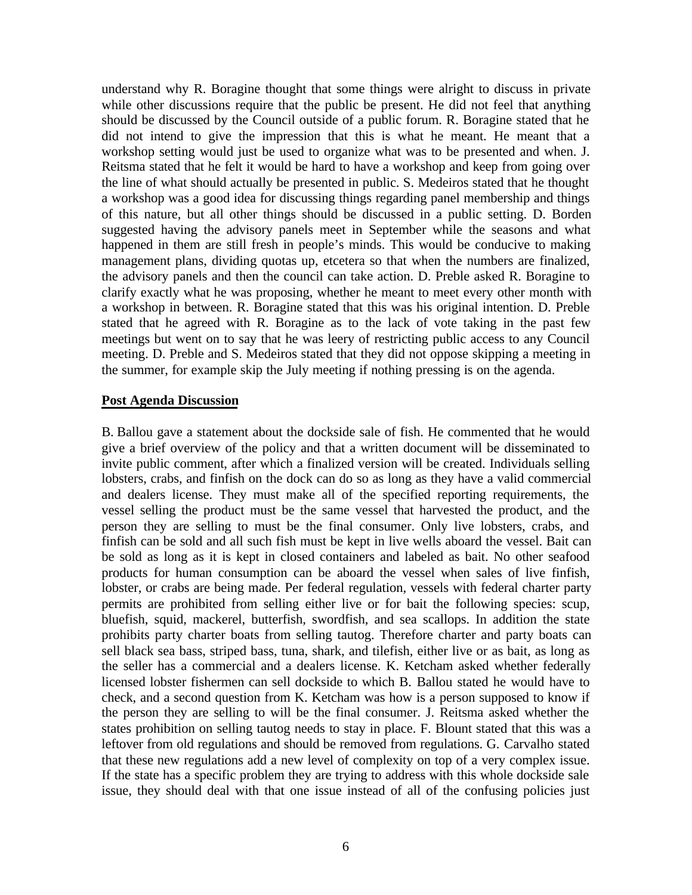understand why R. Boragine thought that some things were alright to discuss in private while other discussions require that the public be present. He did not feel that anything should be discussed by the Council outside of a public forum. R. Boragine stated that he did not intend to give the impression that this is what he meant. He meant that a workshop setting would just be used to organize what was to be presented and when. J. Reitsma stated that he felt it would be hard to have a workshop and keep from going over the line of what should actually be presented in public. S. Medeiros stated that he thought a workshop was a good idea for discussing things regarding panel membership and things of this nature, but all other things should be discussed in a public setting. D. Borden suggested having the advisory panels meet in September while the seasons and what happened in them are still fresh in people's minds. This would be conducive to making management plans, dividing quotas up, etcetera so that when the numbers are finalized, the advisory panels and then the council can take action. D. Preble asked R. Boragine to clarify exactly what he was proposing, whether he meant to meet every other month with a workshop in between. R. Boragine stated that this was his original intention. D. Preble stated that he agreed with R. Boragine as to the lack of vote taking in the past few meetings but went on to say that he was leery of restricting public access to any Council meeting. D. Preble and S. Medeiros stated that they did not oppose skipping a meeting in the summer, for example skip the July meeting if nothing pressing is on the agenda.

#### **Post Agenda Discussion**

B. Ballou gave a statement about the dockside sale of fish. He commented that he would give a brief overview of the policy and that a written document will be disseminated to invite public comment, after which a finalized version will be created. Individuals selling lobsters, crabs, and finfish on the dock can do so as long as they have a valid commercial and dealers license. They must make all of the specified reporting requirements, the vessel selling the product must be the same vessel that harvested the product, and the person they are selling to must be the final consumer. Only live lobsters, crabs, and finfish can be sold and all such fish must be kept in live wells aboard the vessel. Bait can be sold as long as it is kept in closed containers and labeled as bait. No other seafood products for human consumption can be aboard the vessel when sales of live finfish, lobster, or crabs are being made. Per federal regulation, vessels with federal charter party permits are prohibited from selling either live or for bait the following species: scup, bluefish, squid, mackerel, butterfish, swordfish, and sea scallops. In addition the state prohibits party charter boats from selling tautog. Therefore charter and party boats can sell black sea bass, striped bass, tuna, shark, and tilefish, either live or as bait, as long as the seller has a commercial and a dealers license. K. Ketcham asked whether federally licensed lobster fishermen can sell dockside to which B. Ballou stated he would have to check, and a second question from K. Ketcham was how is a person supposed to know if the person they are selling to will be the final consumer. J. Reitsma asked whether the states prohibition on selling tautog needs to stay in place. F. Blount stated that this was a leftover from old regulations and should be removed from regulations. G. Carvalho stated that these new regulations add a new level of complexity on top of a very complex issue. If the state has a specific problem they are trying to address with this whole dockside sale issue, they should deal with that one issue instead of all of the confusing policies just